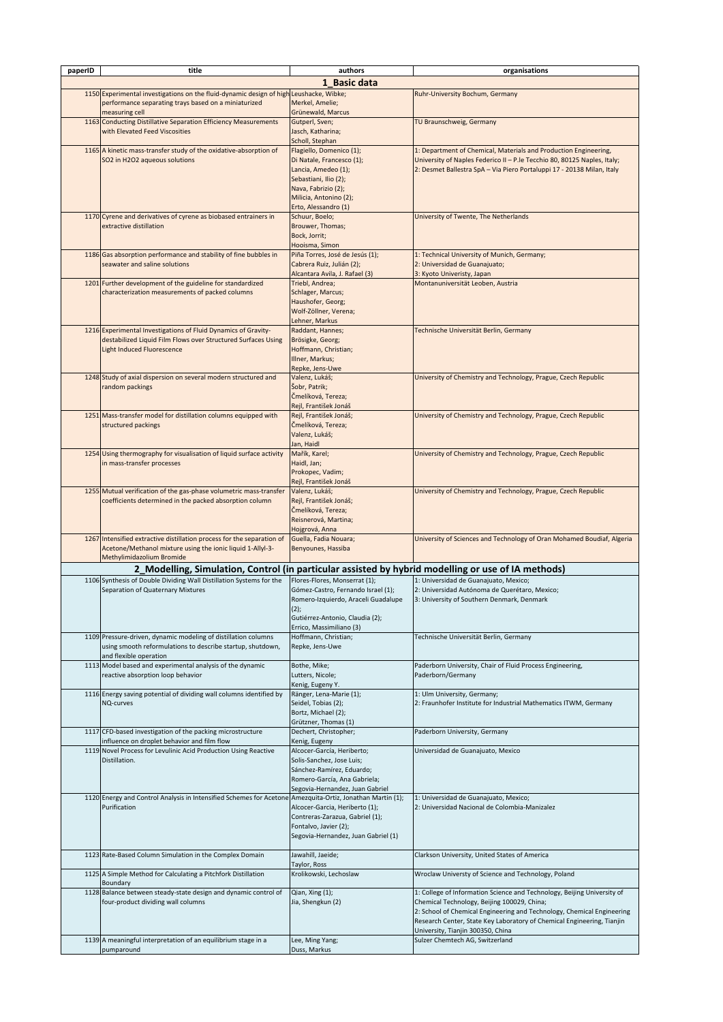| paperID | title                                                                                                                                                                | authors                                                                                                                                                                        | organisations                                                                                                                                                                                                                                                                                                   |
|---------|----------------------------------------------------------------------------------------------------------------------------------------------------------------------|--------------------------------------------------------------------------------------------------------------------------------------------------------------------------------|-----------------------------------------------------------------------------------------------------------------------------------------------------------------------------------------------------------------------------------------------------------------------------------------------------------------|
|         |                                                                                                                                                                      | 1 Basic data                                                                                                                                                                   |                                                                                                                                                                                                                                                                                                                 |
|         | 1150 Experimental investigations on the fluid-dynamic design of high Leushacke, Wibke;<br>performance separating trays based on a miniaturized<br>measuring cell     | Merkel, Amelie;<br>Grünewald, Marcus                                                                                                                                           | Ruhr-University Bochum, Germany                                                                                                                                                                                                                                                                                 |
|         | 1163 Conducting Distillative Separation Efficiency Measurements<br>with Elevated Feed Viscosities                                                                    | Gutperl, Sven;<br>Jasch, Katharina;<br>Scholl, Stephan                                                                                                                         | TU Braunschweig, Germany                                                                                                                                                                                                                                                                                        |
|         | 1165 A kinetic mass-transfer study of the oxidative-absorption of<br>SO2 in H2O2 aqueous solutions                                                                   | Flagiello, Domenico (1);<br>Di Natale, Francesco (1);<br>Lancia, Amedeo (1);<br>Sebastiani, Ilio (2);<br>Nava, Fabrizio (2);<br>Milicia, Antonino (2);<br>Erto, Alessandro (1) | 1: Department of Chemical, Materials and Production Engineering,<br>University of Naples Federico II - P.le Tecchio 80, 80125 Naples, Italy;<br>2: Desmet Ballestra SpA - Via Piero Portaluppi 17 - 20138 Milan, Italy                                                                                          |
|         | 1170 Cyrene and derivatives of cyrene as biobased entrainers in<br>extractive distillation                                                                           | Schuur, Boelo;<br>Brouwer, Thomas;<br>Bock, Jorrit;<br>Hooisma, Simon                                                                                                          | University of Twente, The Netherlands                                                                                                                                                                                                                                                                           |
|         | 1186 Gas absorption performance and stability of fine bubbles in<br>seawater and saline solutions                                                                    | Piña Torres, José de Jesús (1);<br>Cabrera Ruiz, Julián (2);<br>Alcantara Avila, J. Rafael (3)                                                                                 | 1: Technical University of Munich, Germany;<br>2: Universidad de Guanajuato;<br>3: Kyoto Univeristy, Japan                                                                                                                                                                                                      |
|         | 1201 Further development of the guideline for standardized<br>characterization measurements of packed columns                                                        | Triebl, Andrea;<br>Schlager, Marcus;<br>Haushofer, Georg;<br>Wolf-Zöllner, Verena;<br>Lehner, Markus                                                                           | Montanuniversität Leoben, Austria                                                                                                                                                                                                                                                                               |
|         | 1216 Experimental Investigations of Fluid Dynamics of Gravity-<br>destabilized Liquid Film Flows over Structured Surfaces Using<br><b>Light Induced Fluorescence</b> | Raddant, Hannes;<br>Brösigke, Georg;<br>Hoffmann, Christian;<br>Illner, Markus;<br>Repke, Jens-Uwe                                                                             | Technische Universität Berlin, Germany                                                                                                                                                                                                                                                                          |
|         | 1248 Study of axial dispersion on several modern structured and<br>random packings                                                                                   | Valenz, Lukáš;<br>Šobr, Patrik;<br>Čmelíková, Tereza;<br>Rejl, František Jonáš                                                                                                 | University of Chemistry and Technology, Prague, Czech Republic                                                                                                                                                                                                                                                  |
|         | 1251 Mass-transfer model for distillation columns equipped with<br>structured packings                                                                               | Rejl, František Jonáš;<br>Čmelíková, Tereza;<br>Valenz, Lukáš;<br>Jan, Haidl                                                                                                   | University of Chemistry and Technology, Prague, Czech Republic                                                                                                                                                                                                                                                  |
|         | 1254 Using thermography for visualisation of liquid surface activity<br>in mass-transfer processes                                                                   | Mařík, Karel;<br>Haidl, Jan;<br>Prokopec, Vadim;<br>Rejl, František Jonáš                                                                                                      | University of Chemistry and Technology, Prague, Czech Republic                                                                                                                                                                                                                                                  |
|         | 1255 Mutual verification of the gas-phase volumetric mass-transfer<br>coefficients determined in the packed absorption column                                        | Valenz, Lukáš;<br>Rejl, František Jonáš;<br>Čmelíková, Tereza;<br>Reisnerová, Martina;<br>Hojgrová, Anna                                                                       | University of Chemistry and Technology, Prague, Czech Republic                                                                                                                                                                                                                                                  |
|         | 1267 Intensified extractive distillation process for the separation of<br>Acetone/Methanol mixture using the ionic liquid 1-Allyl-3-<br>Methylimidazolium Bromide    | Guella, Fadia Nouara;<br>Benyounes, Hassiba                                                                                                                                    | University of Sciences and Technology of Oran Mohamed Boudiaf, Algeria                                                                                                                                                                                                                                          |
|         | 2_Modelling, Simulation, Control (in particular assisted by hybrid modelling or use of IA methods)                                                                   |                                                                                                                                                                                |                                                                                                                                                                                                                                                                                                                 |
|         | 1106 Synthesis of Double Dividing Wall Distillation Systems for the<br>Separation of Quaternary Mixtures                                                             | Flores-Flores, Monserrat (1);<br>Gómez-Castro, Fernando Israel (1);<br>Romero-Izquierdo, Araceli Guadalupe<br>(2);<br>Gutiérrez-Antonio, Claudia (2);                          | 1: Universidad de Guanajuato, Mexico;<br>2: Universidad Autónoma de Querétaro, Mexico;<br>3: University of Southern Denmark, Denmark                                                                                                                                                                            |
|         | 1109 Pressure-driven, dynamic modeling of distillation columns<br>using smooth reformulations to describe startup, shutdown,                                         | Errico. Massimiliano (3)<br>Hoffmann, Christian;<br>Repke, Jens-Uwe                                                                                                            | Technische Universität Berlin, Germany                                                                                                                                                                                                                                                                          |
|         | and flexible operation<br>1113 Model based and experimental analysis of the dynamic<br>reactive absorption loop behavior                                             | Bothe, Mike;<br>Lutters, Nicole;                                                                                                                                               | Paderborn University, Chair of Fluid Process Engineering,<br>Paderborn/Germany                                                                                                                                                                                                                                  |
|         | 1116 Energy saving potential of dividing wall columns identified by<br>NQ-curves                                                                                     | Kenig, Eugeny Y.<br>Ränger, Lena-Marie (1);<br>Seidel, Tobias (2);<br>Bortz, Michael (2);<br>Grützner, Thomas (1)                                                              | 1: Ulm University, Germany;<br>2: Fraunhofer Institute for Industrial Mathematics ITWM, Germany                                                                                                                                                                                                                 |
|         | 1117 CFD-based investigation of the packing microstructure<br>influence on droplet behavior and film flow                                                            | Dechert, Christopher;<br>Kenig, Eugeny                                                                                                                                         | Paderborn University, Germany                                                                                                                                                                                                                                                                                   |
|         | 1119 Novel Process for Levulinic Acid Production Using Reactive<br>Distillation.                                                                                     | Alcocer-García, Heriberto;<br>Solis-Sanchez, Jose Luis;<br>Sánchez-Ramírez, Eduardo;<br>Romero-García, Ana Gabriela;<br>Segovia-Hernandez, Juan Gabriel                        | Universidad de Guanajuato, Mexico                                                                                                                                                                                                                                                                               |
|         | 1120 Energy and Control Analysis in Intensified Schemes for Acetone<br>Purification                                                                                  | Amezquita-Ortiz, Jonathan Martin (1);<br>Alcocer-Garcia, Heriberto (1);<br>Contreras-Zarazua, Gabriel (1);<br>Fontalvo, Javier (2);<br>Segovia-Hernandez, Juan Gabriel (1)     | 1: Universidad de Guanajuato, Mexico;<br>2: Universidad Nacional de Colombia-Manizalez                                                                                                                                                                                                                          |
|         | 1123 Rate-Based Column Simulation in the Complex Domain                                                                                                              | Jawahill, Jaeide;<br>Taylor, Ross                                                                                                                                              | Clarkson University, United States of America                                                                                                                                                                                                                                                                   |
|         | 1125 A Simple Method for Calculating a Pitchfork Distillation<br>Boundary                                                                                            | Krolikowski, Lechoslaw                                                                                                                                                         | Wroclaw Universty of Science and Technology, Poland                                                                                                                                                                                                                                                             |
|         | 1128 Balance between steady-state design and dynamic control of<br>four-product dividing wall columns                                                                | Qian, Xing (1);<br>Jia, Shengkun (2)                                                                                                                                           | 1: College of Information Science and Technology, Beijing University of<br>Chemical Technology, Beijing 100029, China;<br>2: School of Chemical Engineering and Technology, Chemical Engineering<br>Research Center, State Key Laboratory of Chemical Engineering, Tianjin<br>University, Tianjin 300350, China |
|         | 1139 A meaningful interpretation of an equilibrium stage in a<br>pumparound                                                                                          | Lee, Ming Yang;<br>Duss, Markus                                                                                                                                                | Sulzer Chemtech AG, Switzerland                                                                                                                                                                                                                                                                                 |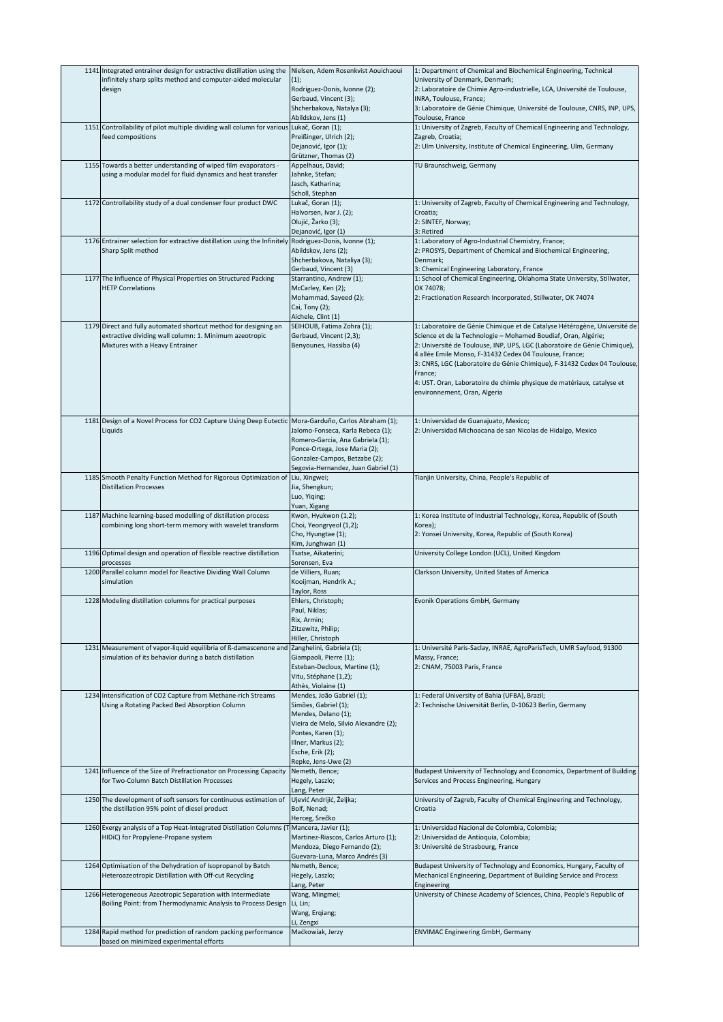| 1141 Integrated entrainer design for extractive distillation using the                                            | Nielsen, Adem Rosenkvist Aouichaoui                            | 1: Department of Chemical and Biochemical Engineering, Technical                 |
|-------------------------------------------------------------------------------------------------------------------|----------------------------------------------------------------|----------------------------------------------------------------------------------|
| infinitely sharp splits method and computer-aided molecular                                                       | (1);                                                           | University of Denmark, Denmark;                                                  |
| design                                                                                                            | Rodriguez-Donis, Ivonne (2);                                   | 2: Laboratoire de Chimie Agro-industrielle, LCA, Université de Toulouse,         |
|                                                                                                                   | Gerbaud, Vincent (3);                                          | INRA, Toulouse, France;                                                          |
|                                                                                                                   | Shcherbakova, Natalya (3);                                     | 3: Laboratoire de Génie Chimique, Université de Toulouse, CNRS, INP, UPS,        |
|                                                                                                                   | Abildskov, Jens (1)                                            | Toulouse, France                                                                 |
| 1151 Controllability of pilot multiple dividing wall column for various                                           | Lukač, Goran (1);                                              | 1: University of Zagreb, Faculty of Chemical Engineering and Technology,         |
| feed compositions                                                                                                 | Preißinger, Ulrich (2);                                        | Zagreb, Croatia;                                                                 |
|                                                                                                                   | Dejanović, Igor (1);                                           | 2: Ulm University, Institute of Chemical Engineering, Ulm, Germany               |
| 1155 Towards a better understanding of wiped film evaporators -                                                   | Grützner, Thomas (2)<br>Appelhaus, David;                      | TU Braunschweig, Germany                                                         |
| using a modular model for fluid dynamics and heat transfer                                                        | Jahnke, Stefan;                                                |                                                                                  |
|                                                                                                                   | Jasch, Katharina;                                              |                                                                                  |
|                                                                                                                   | Scholl, Stephan                                                |                                                                                  |
| 1172 Controllability study of a dual condenser four product DWC                                                   | Lukač, Goran (1);                                              | 1: University of Zagreb, Faculty of Chemical Engineering and Technology,         |
|                                                                                                                   | Halvorsen, Ivar J. (2);                                        | Croatia;                                                                         |
|                                                                                                                   | Olujić, Žarko (3);                                             | 2: SINTEF, Norway;                                                               |
|                                                                                                                   | Dejanović, Igor (1)                                            | 3: Retired                                                                       |
| 1176 Entrainer selection for extractive distillation using the Infinitely                                         | Rodriguez-Donis, Ivonne (1);                                   | 1: Laboratory of Agro-Industrial Chemistry, France;                              |
| Sharp Split method                                                                                                | Abildskov, Jens (2);                                           | 2: PROSYS, Department of Chemical and Biochemical Engineering,                   |
|                                                                                                                   | Shcherbakova, Nataliya (3);                                    | Denmark;                                                                         |
|                                                                                                                   | Gerbaud, Vincent (3)                                           | 3: Chemical Engineering Laboratory, France                                       |
| 1177 The Influence of Physical Properties on Structured Packing                                                   | Starrantino, Andrew (1);                                       | 1: School of Chemical Engineering, Oklahoma State University, Stillwater,        |
| <b>HETP Correlations</b>                                                                                          | McCarley, Ken (2);                                             | OK 74078;                                                                        |
|                                                                                                                   | Mohammad, Sayeed (2);<br>Cai, Tony (2);                        | 2: Fractionation Research Incorporated, Stillwater, OK 74074                     |
|                                                                                                                   | Aichele, Clint (1)                                             |                                                                                  |
| 1179 Direct and fully automated shortcut method for designing an                                                  | SEIHOUB, Fatima Zohra (1);                                     | 1: Laboratoire de Génie Chimique et de Catalyse Hétérogène, Université de        |
| extractive dividing wall column: 1. Minimum azeotropic                                                            | Gerbaud, Vincent (2,3);                                        | Science et de la Technologie - Mohamed Boudiaf, Oran, Algérie;                   |
| Mixtures with a Heavy Entrainer                                                                                   | Benyounes, Hassiba (4)                                         | 2: Université de Toulouse, INP, UPS, LGC (Laboratoire de Génie Chimique),        |
|                                                                                                                   |                                                                | 4 allée Emile Monso, F-31432 Cedex 04 Toulouse, France;                          |
|                                                                                                                   |                                                                | 3: CNRS, LGC (Laboratoire de Génie Chimique), F-31432 Cedex 04 Toulouse,         |
|                                                                                                                   |                                                                | France;                                                                          |
|                                                                                                                   |                                                                | 4: UST. Oran, Laboratoire de chimie physique de matériaux, catalyse et           |
|                                                                                                                   |                                                                | environnement, Oran, Algeria                                                     |
|                                                                                                                   |                                                                |                                                                                  |
|                                                                                                                   |                                                                |                                                                                  |
| 1181 Design of a Novel Process for CO2 Capture Using Deep Eutectic Mora-Garduño, Carlos Abraham (1);              |                                                                | 1: Universidad de Guanajuato, Mexico;                                            |
| Liquids                                                                                                           | Jalomo-Fonseca, Karla Rebeca (1);                              | 2: Universidad Michoacana de san Nicolas de Hidalgo, Mexico                      |
|                                                                                                                   | Romero-Garcia, Ana Gabriela (1);                               |                                                                                  |
|                                                                                                                   | Ponce-Ortega, Jose Maria (2);<br>Gonzalez-Campos, Betzabe (2); |                                                                                  |
|                                                                                                                   | Segovia-Hernandez, Juan Gabriel (1)                            |                                                                                  |
| 1185 Smooth Penalty Function Method for Rigorous Optimization of                                                  | Liu, Xingwei;                                                  | Tianjin University, China, People's Republic of                                  |
| <b>Distillation Processes</b>                                                                                     | Jia, Shengkun;                                                 |                                                                                  |
|                                                                                                                   | Luo, Yiqing;                                                   |                                                                                  |
|                                                                                                                   | Yuan, Xigang                                                   |                                                                                  |
| 1187 Machine learning-based modelling of distillation process                                                     | Kwon, Hyukwon (1,2);                                           | 1: Korea Institute of Industrial Technology, Korea, Republic of (South           |
| combining long short-term memory with wavelet transform                                                           | Choi, Yeongryeol (1,2);                                        | Korea);                                                                          |
|                                                                                                                   | Cho, Hyungtae (1);                                             | 2: Yonsei University, Korea, Republic of (South Korea)                           |
|                                                                                                                   |                                                                |                                                                                  |
|                                                                                                                   | Kim, Junghwan (1)                                              |                                                                                  |
| 1196 Optimal design and operation of flexible reactive distillation                                               | Tsatse, Aikaterini;                                            | University College London (UCL), United Kingdom                                  |
| processes                                                                                                         | Sorensen, Eva                                                  |                                                                                  |
| 1200 Parallel column model for Reactive Dividing Wall Column<br>simulation                                        | de Villiers, Ruan;<br>Kooijman, Hendrik A.;                    | Clarkson University, United States of America                                    |
|                                                                                                                   | Taylor, Ross                                                   |                                                                                  |
| 1228 Modeling distillation columns for practical purposes                                                         | Ehlers, Christoph;                                             | Evonik Operations GmbH, Germany                                                  |
|                                                                                                                   | Paul, Niklas;                                                  |                                                                                  |
|                                                                                                                   | Rix, Armin;                                                    |                                                                                  |
|                                                                                                                   | Zitzewitz, Philip;                                             |                                                                                  |
|                                                                                                                   | Hiller, Christoph                                              |                                                                                  |
| 1231 Measurement of vapor-liquid equilibria of ß-damascenone and                                                  | Zanghelini, Gabriela (1);                                      | 1: Université Paris-Saclay, INRAE, AgroParisTech, UMR Sayfood, 91300             |
| simulation of its behavior during a batch distillation                                                            | Giampaoli, Pierre (1);                                         | Massy, France;                                                                   |
|                                                                                                                   | Esteban-Decloux, Martine (1);<br>Vitu, Stéphane (1,2);         | 2: CNAM, 75003 Paris, France                                                     |
|                                                                                                                   | Athès, Violaine (1)                                            |                                                                                  |
| 1234 Intensification of CO2 Capture from Methane-rich Streams                                                     | Mendes, João Gabriel (1);                                      | 1: Federal University of Bahia (UFBA), Brazil;                                   |
| Using a Rotating Packed Bed Absorption Column                                                                     | Simões, Gabriel (1);                                           | 2: Technische Universität Berlin, D-10623 Berlin, Germany                        |
|                                                                                                                   | Mendes, Delano (1);                                            |                                                                                  |
|                                                                                                                   | Vieira de Melo, Silvio Alexandre (2);                          |                                                                                  |
|                                                                                                                   | Pontes, Karen (1);                                             |                                                                                  |
|                                                                                                                   | Illner, Markus (2);                                            |                                                                                  |
|                                                                                                                   | Esche, Erik (2);                                               |                                                                                  |
|                                                                                                                   | Repke, Jens-Uwe (2)                                            |                                                                                  |
| 1241 Influence of the Size of Prefractionator on Processing Capacity                                              | Nemeth, Bence;                                                 | Budapest University of Technology and Economics, Department of Building          |
| for Two-Column Batch Distillation Processes                                                                       | Hegely, Laszlo;                                                | Services and Process Engineering, Hungary                                        |
|                                                                                                                   | Lang, Peter                                                    |                                                                                  |
| 1250 The development of soft sensors for continuous estimation of<br>the distillation 95% point of diesel product | Ujević Andrijić, Željka;<br>Bolf, Nenad;                       | University of Zagreb, Faculty of Chemical Engineering and Technology,<br>Croatia |
|                                                                                                                   | Herceg, Srečko                                                 |                                                                                  |
| 1260 Exergy analysis of a Top Heat-Integrated Distillation Columns (1                                             | Mancera, Javier (1);                                           | 1: Universidad Nacional de Colombia, Colombia;                                   |
| HIDiC) for Propylene-Propane system                                                                               | Martinez-Riascos, Carlos Arturo (1);                           | 2: Universidad de Antioquia, Colombia;                                           |
|                                                                                                                   | Mendoza, Diego Fernando (2);                                   | 3: Université de Strasbourg, France                                              |
|                                                                                                                   | Guevara-Luna, Marco Andrés (3)                                 |                                                                                  |
| 1264 Optimisation of the Dehydration of Isopropanol by Batch                                                      | Nemeth, Bence;                                                 | Budapest University of Technology and Economics, Hungary, Faculty of             |
| Heteroazeotropic Distillation with Off-cut Recycling                                                              | Hegely, Laszlo;                                                | Mechanical Engineering, Department of Building Service and Process               |
|                                                                                                                   | Lang, Peter                                                    | Engineering                                                                      |
| 1266 Heterogeneous Azeotropic Separation with Intermediate                                                        | Wang, Mingmei;                                                 | University of Chinese Academy of Sciences, China, People's Republic of           |
| Boiling Point: from Thermodynamic Analysis to Process Design                                                      | Li, Lin;                                                       |                                                                                  |
|                                                                                                                   | Wang, Erqiang;                                                 |                                                                                  |
| 1284 Rapid method for prediction of random packing performance                                                    | Li, Zengxi<br>Maćkowiak, Jerzy                                 | <b>ENVIMAC Engineering GmbH, Germany</b>                                         |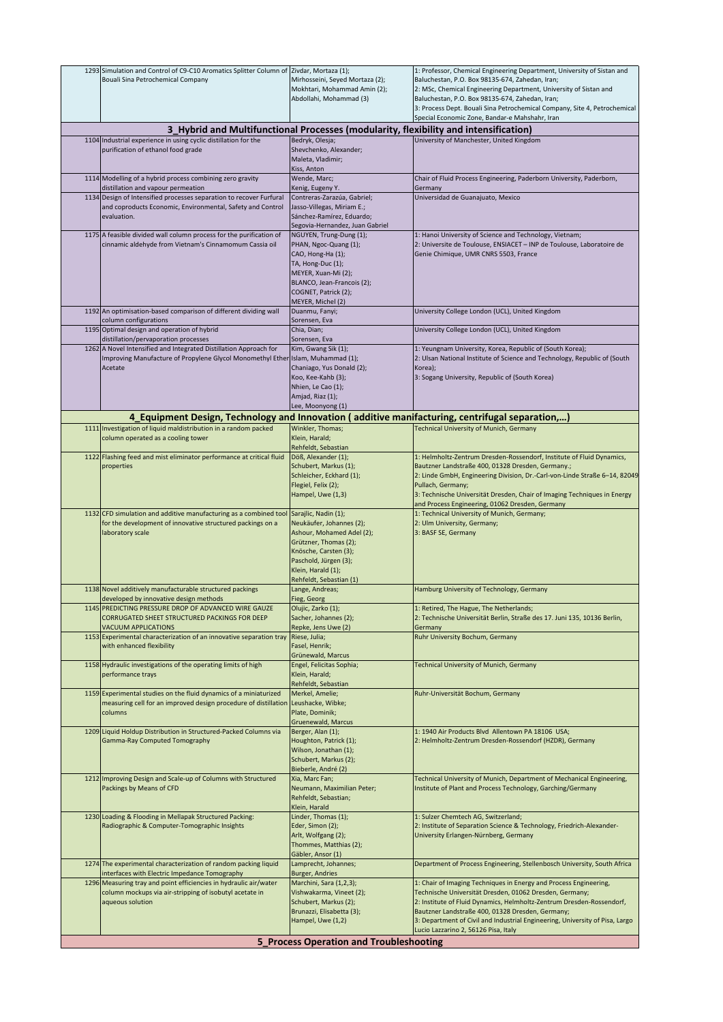| 1293 Simulation and Control of C9-C10 Aromatics Splitter Column of Zivdar, Mortaza (1);                                         |                                                                                      | 1: Professor, Chemical Engineering Department, University of Sistan and                                                   |
|---------------------------------------------------------------------------------------------------------------------------------|--------------------------------------------------------------------------------------|---------------------------------------------------------------------------------------------------------------------------|
| Bouali Sina Petrochemical Company                                                                                               | Mirhosseini, Seyed Mortaza (2);                                                      | Baluchestan, P.O. Box 98135-674, Zahedan, Iran;                                                                           |
|                                                                                                                                 | Mokhtari, Mohammad Amin (2);                                                         | 2: MSc, Chemical Engineering Department, University of Sistan and                                                         |
|                                                                                                                                 | Abdollahi, Mohammad (3)                                                              | Baluchestan, P.O. Box 98135-674, Zahedan, Iran;                                                                           |
|                                                                                                                                 |                                                                                      | 3: Process Dept. Bouali Sina Petrochemical Company, Site 4, Petrochemical                                                 |
|                                                                                                                                 |                                                                                      | Special Economic Zone, Bandar-e Mahshahr, Iran                                                                            |
|                                                                                                                                 | 3_Hybrid and Multifunctional Processes (modularity, flexibility and intensification) |                                                                                                                           |
| 1104 Industrial experience in using cyclic distillation for the                                                                 | Bedryk, Olesja;                                                                      | University of Manchester, United Kingdom                                                                                  |
| purification of ethanol food grade                                                                                              | Shevchenko, Alexander;                                                               |                                                                                                                           |
|                                                                                                                                 | Maleta, Vladimir;<br>Kiss, Anton                                                     |                                                                                                                           |
| 1114 Modelling of a hybrid process combining zero gravity                                                                       | Wende, Marc;                                                                         | Chair of Fluid Process Engineering, Paderborn University, Paderborn,                                                      |
| distillation and vapour permeation                                                                                              | Kenig, Eugeny Y.                                                                     | Germany                                                                                                                   |
| 1134 Design of Intensified processes separation to recover Furfural                                                             | Contreras-Zarazúa, Gabriel;                                                          | Universidad de Guanajuato, Mexico                                                                                         |
| and coproducts Economic, Environmental, Safety and Control                                                                      | Jasso-Villegas, Miriam E.;                                                           |                                                                                                                           |
| evaluation.                                                                                                                     | Sánchez-Ramírez, Eduardo;                                                            |                                                                                                                           |
|                                                                                                                                 | Segovia-Hernandez, Juan Gabriel                                                      |                                                                                                                           |
| 1175 A feasible divided wall column process for the purification of                                                             | NGUYEN, Trung-Dung (1);                                                              | 1: Hanoi University of Science and Technology, Vietnam;                                                                   |
| cinnamic aldehyde from Vietnam's Cinnamomum Cassia oil                                                                          | PHAN, Ngoc-Quang (1);                                                                | 2: Universite de Toulouse, ENSIACET - INP de Toulouse, Laboratoire de                                                     |
|                                                                                                                                 | CAO, Hong-Ha (1);                                                                    | Genie Chimique, UMR CNRS 5503, France                                                                                     |
|                                                                                                                                 | TA, Hong-Duc (1);                                                                    |                                                                                                                           |
|                                                                                                                                 | MEYER, Xuan-Mi (2);                                                                  |                                                                                                                           |
|                                                                                                                                 | BLANCO, Jean-Francois (2);                                                           |                                                                                                                           |
|                                                                                                                                 | COGNET, Patrick (2);<br>MEYER, Michel (2)                                            |                                                                                                                           |
| 1192 An optimisation-based comparison of different dividing wall                                                                | Duanmu, Fanyi;                                                                       | University College London (UCL), United Kingdom                                                                           |
| column configurations                                                                                                           | Sorensen, Eva                                                                        |                                                                                                                           |
| 1195 Optimal design and operation of hybrid                                                                                     | Chia, Dian;                                                                          | University College London (UCL), United Kingdom                                                                           |
| distillation/pervaporation processes                                                                                            | Sorensen, Eva                                                                        |                                                                                                                           |
| 1262 A Novel Intensified and Integrated Distillation Approach for                                                               | Kim, Gwang Sik (1);                                                                  | 1: Yeungnam University, Korea, Republic of (South Korea);                                                                 |
| Improving Manufacture of Propylene Glycol Monomethyl Ether Islam, Muhammad (1);                                                 |                                                                                      | 2: Ulsan National Institute of Science and Technology, Republic of (South                                                 |
| Acetate                                                                                                                         | Chaniago, Yus Donald (2);                                                            | Korea);                                                                                                                   |
|                                                                                                                                 | Koo, Kee-Kahb (3);                                                                   | 3: Sogang University, Republic of (South Korea)                                                                           |
|                                                                                                                                 | Nhien, Le Cao (1);<br>Amjad, Riaz (1);                                               |                                                                                                                           |
|                                                                                                                                 | Lee, Moonyong (1)                                                                    |                                                                                                                           |
| 4_Equipment Design, Technology and Innovation (additive manifacturing, centrifugal separation,)                                 |                                                                                      |                                                                                                                           |
| 1111 Investigation of liquid maldistribution in a random packed                                                                 | Winkler, Thomas;                                                                     | Technical University of Munich, Germany                                                                                   |
| column operated as a cooling tower                                                                                              | Klein, Harald;                                                                       |                                                                                                                           |
|                                                                                                                                 | Rehfeldt, Sebastian                                                                  |                                                                                                                           |
| 1122 Flashing feed and mist eliminator performance at critical fluid                                                            | Döß, Alexander (1);                                                                  | 1: Helmholtz-Zentrum Dresden-Rossendorf, Institute of Fluid Dynamics,                                                     |
| properties                                                                                                                      | Schubert, Markus (1);                                                                | Bautzner Landstraße 400, 01328 Dresden, Germany.;                                                                         |
|                                                                                                                                 | Schleicher, Eckhard (1);                                                             | 2: Linde GmbH, Engineering Division, Dr.-Carl-von-Linde Straße 6-14, 82049                                                |
|                                                                                                                                 | Flegiel, Felix (2);                                                                  | Pullach, Germany;                                                                                                         |
|                                                                                                                                 | Hampel, Uwe (1,3)                                                                    | 3: Technische Universität Dresden, Chair of Imaging Techniques in Energy                                                  |
|                                                                                                                                 |                                                                                      | and Process Engineering, 01062 Dresden, Germany                                                                           |
| 1132 CFD simulation and additive manufacturing as a combined tool<br>for the development of innovative structured packings on a | Sarajlic, Nadin (1);<br>Neukäufer, Johannes (2);                                     | 1: Technical University of Munich, Germany;<br>2: Ulm University, Germany;                                                |
| laboratory scale                                                                                                                | Ashour, Mohamed Adel (2);                                                            | 3: BASF SE, Germany                                                                                                       |
|                                                                                                                                 | Grützner, Thomas (2);                                                                |                                                                                                                           |
|                                                                                                                                 | Knösche, Carsten (3);                                                                |                                                                                                                           |
|                                                                                                                                 |                                                                                      |                                                                                                                           |
|                                                                                                                                 | Paschold, Jürgen (3);                                                                |                                                                                                                           |
|                                                                                                                                 | Klein, Harald (1);                                                                   |                                                                                                                           |
|                                                                                                                                 | Rehfeldt, Sebastian (1)                                                              |                                                                                                                           |
| 1138 Novel additively manufacturable structured packings                                                                        | Lange, Andreas;                                                                      | Hamburg University of Technology, Germany                                                                                 |
| developed by innovative design methods                                                                                          | Fieg, Georg                                                                          |                                                                                                                           |
| 1145 PREDICTING PRESSURE DROP OF ADVANCED WIRE GAUZE                                                                            | Olujic, Zarko (1);                                                                   | 1: Retired, The Hague, The Netherlands;                                                                                   |
| CORRUGATED SHEET STRUCTURED PACKINGS FOR DEEP                                                                                   | Sacher, Johannes (2);                                                                | 2: Technische Universität Berlin, Straße des 17. Juni 135, 10136 Berlin,                                                  |
| <b>VACUUM APPLICATIONS</b><br>1153 Experimental characterization of an innovative separation tray                               | Repke, Jens Uwe (2)<br>Riese, Julia;                                                 | Germany<br>Ruhr University Bochum, Germany                                                                                |
| with enhanced flexibility                                                                                                       | Fasel, Henrik;                                                                       |                                                                                                                           |
|                                                                                                                                 | Grünewald, Marcus                                                                    |                                                                                                                           |
| 1158 Hydraulic investigations of the operating limits of high                                                                   | Engel, Felicitas Sophia;                                                             | Technical University of Munich, Germany                                                                                   |
| performance trays                                                                                                               | Klein, Harald;                                                                       |                                                                                                                           |
|                                                                                                                                 | Rehfeldt, Sebastian                                                                  |                                                                                                                           |
| 1159 Experimental studies on the fluid dynamics of a miniaturized                                                               | Merkel, Amelie;<br>Leushacke, Wibke;                                                 | Ruhr-Universität Bochum, Germany                                                                                          |
| measuring cell for an improved design procedure of distillation<br>columns                                                      | Plate, Dominik;                                                                      |                                                                                                                           |
|                                                                                                                                 | Gruenewald, Marcus                                                                   |                                                                                                                           |
| 1209 Liquid Holdup Distribution in Structured-Packed Columns via                                                                | Berger, Alan (1);                                                                    | 1: 1940 Air Products Blvd Allentown PA 18106 USA;                                                                         |
| Gamma-Ray Computed Tomography                                                                                                   | Houghton, Patrick (1);                                                               | 2: Helmholtz-Zentrum Dresden-Rossendorf (HZDR), Germany                                                                   |
|                                                                                                                                 | Wilson, Jonathan (1);                                                                |                                                                                                                           |
|                                                                                                                                 | Schubert, Markus (2);                                                                |                                                                                                                           |
|                                                                                                                                 | Bieberle, André (2)                                                                  |                                                                                                                           |
| 1212 Improving Design and Scale-up of Columns with Structured                                                                   | Xia, Marc Fan;                                                                       | Technical University of Munich, Department of Mechanical Engineering,                                                     |
| Packings by Means of CFD                                                                                                        | Neumann, Maximilian Peter;                                                           | Institute of Plant and Process Technology, Garching/Germany                                                               |
|                                                                                                                                 | Rehfeldt, Sebastian;<br>Klein, Harald                                                |                                                                                                                           |
|                                                                                                                                 |                                                                                      |                                                                                                                           |
| 1230 Loading & Flooding in Mellapak Structured Packing:<br>Radiographic & Computer-Tomographic Insights                         | Linder, Thomas (1);<br>Eder, Simon (2);                                              | 1: Sulzer Chemtech AG, Switzerland;<br>2: Institute of Separation Science & Technology, Friedrich-Alexander-              |
|                                                                                                                                 | Arlt, Wolfgang (2);                                                                  | University Erlangen-Nürnberg, Germany                                                                                     |
|                                                                                                                                 | Thommes, Matthias (2);                                                               |                                                                                                                           |
|                                                                                                                                 | Gäbler, Ansor (1)                                                                    |                                                                                                                           |
| 1274 The experimental characterization of random packing liquid                                                                 | Lamprecht, Johannes;                                                                 | Department of Process Engineering, Stellenbosch University, South Africa                                                  |
| interfaces with Electric Impedance Tomography                                                                                   | <b>Burger, Andries</b>                                                               |                                                                                                                           |
| 1296 Measuring tray and point efficiencies in hydraulic air/water                                                               | Marchini, Sara (1,2,3);                                                              | 1: Chair of Imaging Techniques in Energy and Process Engineering,                                                         |
| column mockups via air-stripping of isobutyl acetate in                                                                         | Vishwakarma, Vineet (2);                                                             | Technische Universität Dresden, 01062 Dresden, Germany;                                                                   |
| aqueous solution                                                                                                                | Schubert, Markus (2);<br>Brunazzi, Elisabetta (3);                                   | 2: Institute of Fluid Dynamics, Helmholtz-Zentrum Dresden-Rossendorf,<br>Bautzner Landstraße 400, 01328 Dresden, Germany; |
|                                                                                                                                 | Hampel, Uwe (1,2)                                                                    | 3: Department of Civil and Industrial Engineering, University of Pisa, Largo                                              |
|                                                                                                                                 |                                                                                      | Lucio Lazzarino 2, 56126 Pisa, Italy                                                                                      |
|                                                                                                                                 | 5 Process Operation and Troubleshooting                                              |                                                                                                                           |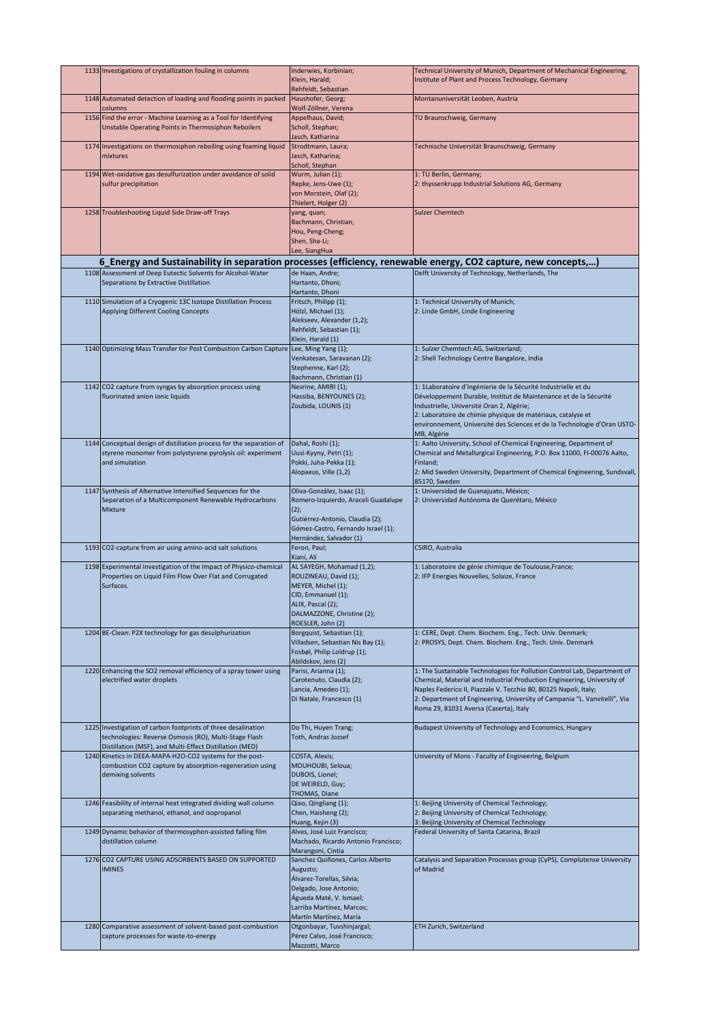| 1133 Investigations of crystallization fouling in columns                                                                                                                         | Inderwies, Korbinian;<br>Klein, Harald;<br>Rehfeldt, Sebastian                                                                                                                        | Technical University of Munich, Department of Mechanical Engineering,<br>Institute of Plant and Process Technology, Germany                                                                                                                                                                                                                    |
|-----------------------------------------------------------------------------------------------------------------------------------------------------------------------------------|---------------------------------------------------------------------------------------------------------------------------------------------------------------------------------------|------------------------------------------------------------------------------------------------------------------------------------------------------------------------------------------------------------------------------------------------------------------------------------------------------------------------------------------------|
| 1148 Automated detection of loading and flooding points in packed<br>columns                                                                                                      | Haushofer, Georg;<br>Wolf-Zöllner, Verena                                                                                                                                             | Montanuniversität Leoben, Austria                                                                                                                                                                                                                                                                                                              |
| 1156 Find the error - Machine Learning as a Tool for Identifying<br>Unstable Operating Points in Thermosiphon Reboilers                                                           | Appelhaus, David;<br>Scholl, Stephan;<br>Jasch, Katharina                                                                                                                             | TU Braunschweig, Germany                                                                                                                                                                                                                                                                                                                       |
| 1174 Investigations on thermosiphon reboiling using foaming liquid<br>mixtures                                                                                                    | Strodtmann, Laura;<br>Jasch, Katharina;<br>Scholl, Stephan                                                                                                                            | Technische Universität Braunschweig, Germany                                                                                                                                                                                                                                                                                                   |
| 1194 Wet-oxidative gas desulfurization under avoidance of solid<br>sulfur precipitation                                                                                           | Wurm, Julian (1);<br>Repke, Jens-Uwe (1);<br>von Morstein, Olaf (2);<br>Thielert, Holger (2)                                                                                          | 1: TU Berlin, Germany;<br>2: thyssenkrupp Industrial Solutions AG, Germany                                                                                                                                                                                                                                                                     |
| 1258 Troubleshooting Liquid Side Draw-off Trays                                                                                                                                   | yang, quan;<br>Bachmann, Christian;<br>Hou, Peng-Cheng;<br>Shen, Sha-Li;<br>Lee, SiangHua                                                                                             | <b>Sulzer Chemtech</b>                                                                                                                                                                                                                                                                                                                         |
| 6_Energy and Sustainability in separation processes (efficiency, renewable energy, CO2 capture, new concepts,)                                                                    |                                                                                                                                                                                       |                                                                                                                                                                                                                                                                                                                                                |
| 1108 Assessment of Deep Eutectic Solvents for Alcohol-Water<br>Separations by Extractive Distillation                                                                             | de Haan, Andre;<br>Hartanto, Dhoni;                                                                                                                                                   | Delft University of Technology, Netherlands, The                                                                                                                                                                                                                                                                                               |
| 1110 Simulation of a Cryogenic 13C Isotope Distillation Process<br>Applying Different Cooling Concepts                                                                            | Hartanto, Dhoni<br>Fritsch, Philipp (1);<br>Hölzl, Michael (1);<br>Alekseev, Alexander (1,2);<br>Rehfeldt, Sebastian (1);<br>Klein, Harald (1)                                        | 1: Technical University of Munich;<br>2: Linde GmbH, Linde Engineering                                                                                                                                                                                                                                                                         |
| 1140 Optimizing Mass Transfer for Post Combustion Carbon Capture                                                                                                                  | Lee, Ming Yang (1);<br>Venkatesan, Saravanan (2);<br>Stephenne, Karl (2);<br>Bachmann, Christian (1)                                                                                  | 1: Sulzer Chemtech AG, Switzerland;<br>2: Shell Technology Centre Bangalore, India                                                                                                                                                                                                                                                             |
| 1142 CO2 capture from syngas by absorption process using<br>fluorinated anion ionic liquids                                                                                       | Nesrine, AMIRI (1);<br>Hassiba, BENYOUNES (2);<br>Zoubida, LOUNIS (1)                                                                                                                 | 1: 1Laboratoire d'Ingénierie de la Sécurité Industrielle et du<br>Développement Durable, Institut de Maintenance et de la Sécurité<br>Industrielle, Université Oran 2, Algérie;<br>2: Laboratoire de chimie physique de matériaux, catalyse et<br>environnement, Université des Sciences et de la Technologie d'Oran USTO-<br>MB, Algérie      |
| 1144 Conceptual design of distillation process for the separation of<br>styrene monomer from polystyrene pyrolysis oil: experiment<br>and simulation                              | Dahal, Roshi (1);<br>Uusi-Kyyny, Petri (1);<br>Pokki, Juha-Pekka (1);<br>Alopaeus, Ville (1,2)                                                                                        | 1: Aalto University, School of Chemical Engineering, Department of<br>Chemical and Metallurgical Engineering, P.O. Box 11000, FI-00076 Aalto,<br>Finland;<br>2: Mid Sweden University, Department of Chemical Engineering, Sundsvall,<br>85170, Sweden                                                                                         |
| 1147 Synthesis of Alternative Intensified Sequences for the<br>Separation of a Multicomponent Renewable Hydrocarbons<br>Mixture                                                   | Oliva-González, Isaac (1);<br>Romero-Izquierdo, Araceli Guadalupe<br>(2);<br>Gutiérrez-Antonio, Claudia (2);<br>Gómez-Castro, Fernando Israel (1);<br>Hernández, Salvador (1)         | 1: Universidad de Guanajuato, México;<br>2: Universidad Autónoma de Querétaro, México                                                                                                                                                                                                                                                          |
| 1193 CO2-capture from air using amino-acid salt solutions                                                                                                                         | Feron, Paul;<br>Kiani, Ali                                                                                                                                                            | CSIRO, Australia                                                                                                                                                                                                                                                                                                                               |
| 1198 Experimental Investigation of the Impact of Physico-chemical<br>Properties on Liquid Film Flow Over Flat and Corrugated<br>Surfaces.                                         | AL SAYEGH, Mohamad (1,2);<br>ROUZINEAU, David (1);<br>MEYER, Michel (1);<br>CID, Emmanuel (1);<br>ALIX, Pascal (2);<br>DALMAZZONE, Christine (2);<br>ROESLER, John (2)                | 1: Laboratoire de génie chimique de Toulouse, France;<br>2: IFP Energies Nouvelles, Solaize, France                                                                                                                                                                                                                                            |
| 1204 BE-Clean: P2X technology for gas desulphurization                                                                                                                            | Borgquist, Sebastian (1);<br>Villadsen, Sebastian Nis Bay (1);<br>Fosbøl, Philip Loldrup (1);<br>Abildskov, Jens (2)                                                                  | 1: CERE, Dept. Chem. Biochem. Eng., Tech. Univ. Denmark;<br>2: PROSYS, Dept. Chem. Biochem. Eng., Tech. Univ. Denmark                                                                                                                                                                                                                          |
| 1220 Enhancing the SO2 removal efficiency of a spray tower using<br>electrified water droplets                                                                                    | Parisi, Arianna (1);<br>Carotenuto, Claudia (2);<br>Lancia, Amedeo (1);<br>Di Natale, Francesco (1)                                                                                   | 1: The Sustainable Technologies for Pollution Control Lab, Department of<br>Chemical, Material and Industrial Production Engineering, University of<br>Naples Federico II, Piazzale V. Tecchio 80, 80125 Napoli, Italy;<br>2: Department of Engineering, University of Campania "L. Vanvitelli", Via<br>Roma 29, 81031 Aversa (Caserta), Italy |
| 1225 Investigation of carbon footprints of three desalination<br>technologies: Reverse Osmosis (RO), Multi-Stage Flash<br>Distillation (MSF), and Multi-Effect Distillation (MED) | Do Thi, Huyen Trang;<br>Toth, Andras Jozsef                                                                                                                                           | Budapest University of Technology and Economics, Hungary                                                                                                                                                                                                                                                                                       |
| 1240 Kinetics in DEEA-MAPA-H2O-CO2 systems for the post-<br>combustion CO2 capture by absorption-regeneration using<br>demixing solvents                                          | COSTA, Alexis;<br>MOUHOUBI, Seloua;<br>DUBOIS, Lionel;<br>DE WEIRELD, Guy;<br>THOMAS, Diane                                                                                           | University of Mons - Faculty of Engineering, Belgium                                                                                                                                                                                                                                                                                           |
| 1246 Feasibility of internal heat integrated dividing wall column<br>separating methanol, ethanol, and isopropanol                                                                | Qiao, Qingliang (1);<br>Chen, Haisheng (2);<br>Huang, Kejin (3)                                                                                                                       | 1: Beijing University of Chemical Technology;<br>2: Beijing University of Chemical Technology;<br>3: Beijing University of Chemical Technology                                                                                                                                                                                                 |
| 1249 Dynamic behavior of thermosyphon-assisted falling film<br>distillation column                                                                                                | Alves, José Luiz Francisco;<br>Machado, Ricardo Antonio Francisco;<br>Marangoni, Cintia                                                                                               | Federal University of Santa Catarina, Brazil                                                                                                                                                                                                                                                                                                   |
| 1276 CO2 CAPTURE USING ADSORBENTS BASED ON SUPPORTED<br><b>IMINES</b>                                                                                                             | Sanchez Quiñones, Carlos Alberto<br>Augusto;<br>Álvarez-Torellas, Silvia;<br>Delgado, Jose Antonio;<br>Águeda Maté, V. Ismael;<br>Larriba Martínez, Marcos;<br>Martín Martínez, María | Catalysis and Separation Processes group (CyPS), Complutense University<br>of Madrid                                                                                                                                                                                                                                                           |
| 1280 Comparative assessment of solvent-based post-combustion<br>capture processes for waste-to-energy                                                                             | Otgonbayar, Tuvshinjargal;<br>Pérez Calvo, José Francisco;<br>Mazzotti, Marco                                                                                                         | ETH Zurich, Switzerland                                                                                                                                                                                                                                                                                                                        |